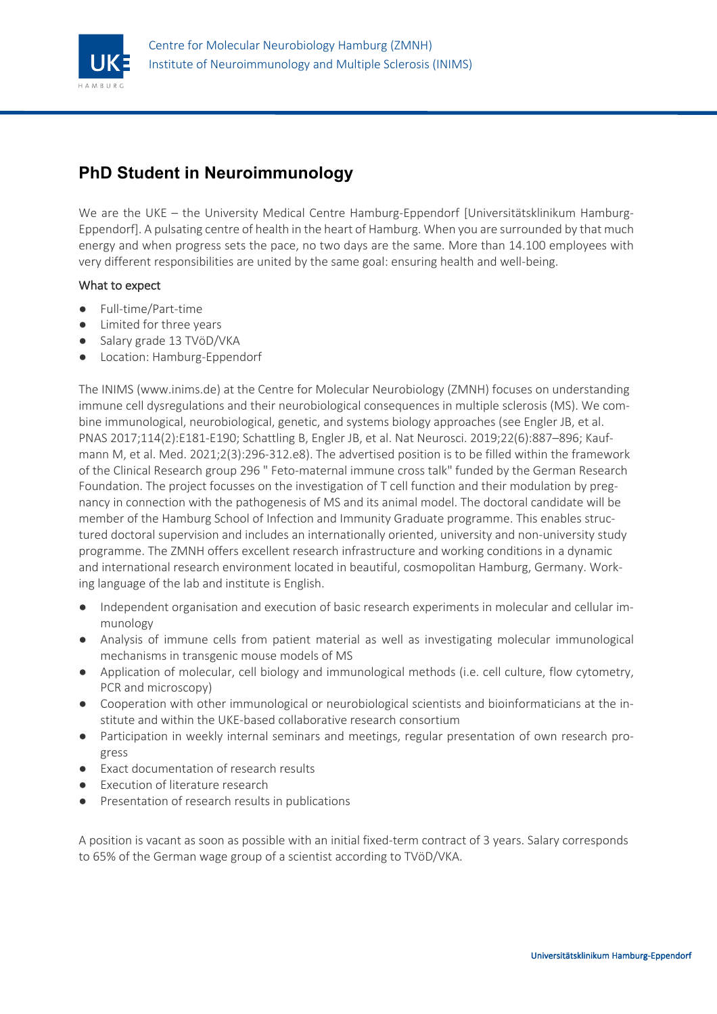

# **PhD Student in Neuroimmunology**

We are the UKE – the University Medical Centre Hamburg-Eppendorf [Universitätsklinikum Hamburg-Eppendorf]. A pulsating centre of health in the heart of Hamburg. When you are surrounded by that much energy and when progress sets the pace, no two days are the same. More than 14.100 employees with very different responsibilities are united by the same goal: ensuring health and well-being.

## What to expect

- Full-time/Part-time
- Limited for three years
- Salary grade 13 TVöD/VKA
- Location: Hamburg-Eppendorf

The INIMS (www.inims.de) at the Centre for Molecular Neurobiology (ZMNH) focuses on understanding immune cell dysregulations and their neurobiological consequences in multiple sclerosis (MS). We combine immunological, neurobiological, genetic, and systems biology approaches (see Engler JB, et al. PNAS 2017;114(2):E181-E190; Schattling B, Engler JB, et al. Nat Neurosci. 2019;22(6):887–896; Kaufmann M, et al. Med. 2021;2(3):296-312.e8). The advertised position is to be filled within the framework of the Clinical Research group 296 " Feto-maternal immune cross talk" funded by the German Research Foundation. The project focusses on the investigation of T cell function and their modulation by pregnancy in connection with the pathogenesis of MS and its animal model. The doctoral candidate will be member of the Hamburg School of Infection and Immunity Graduate programme. This enables structured doctoral supervision and includes an internationally oriented, university and non-university study programme. The ZMNH offers excellent research infrastructure and working conditions in a dynamic and international research environment located in beautiful, cosmopolitan Hamburg, Germany. Working language of the lab and institute is English.

- Independent organisation and execution of basic research experiments in molecular and cellular immunology
- Analysis of immune cells from patient material as well as investigating molecular immunological mechanisms in transgenic mouse models of MS
- Application of molecular, cell biology and immunological methods (i.e. cell culture, flow cytometry, PCR and microscopy)
- Cooperation with other immunological or neurobiological scientists and bioinformaticians at the institute and within the UKE-based collaborative research consortium
- Participation in weekly internal seminars and meetings, regular presentation of own research progress
- Exact documentation of research results
- **Execution of literature research**
- Presentation of research results in publications

A position is vacant as soon as possible with an initial fixed-term contract of 3 years. Salary corresponds to 65% of the German wage group of a scientist according to TVöD/VKA.